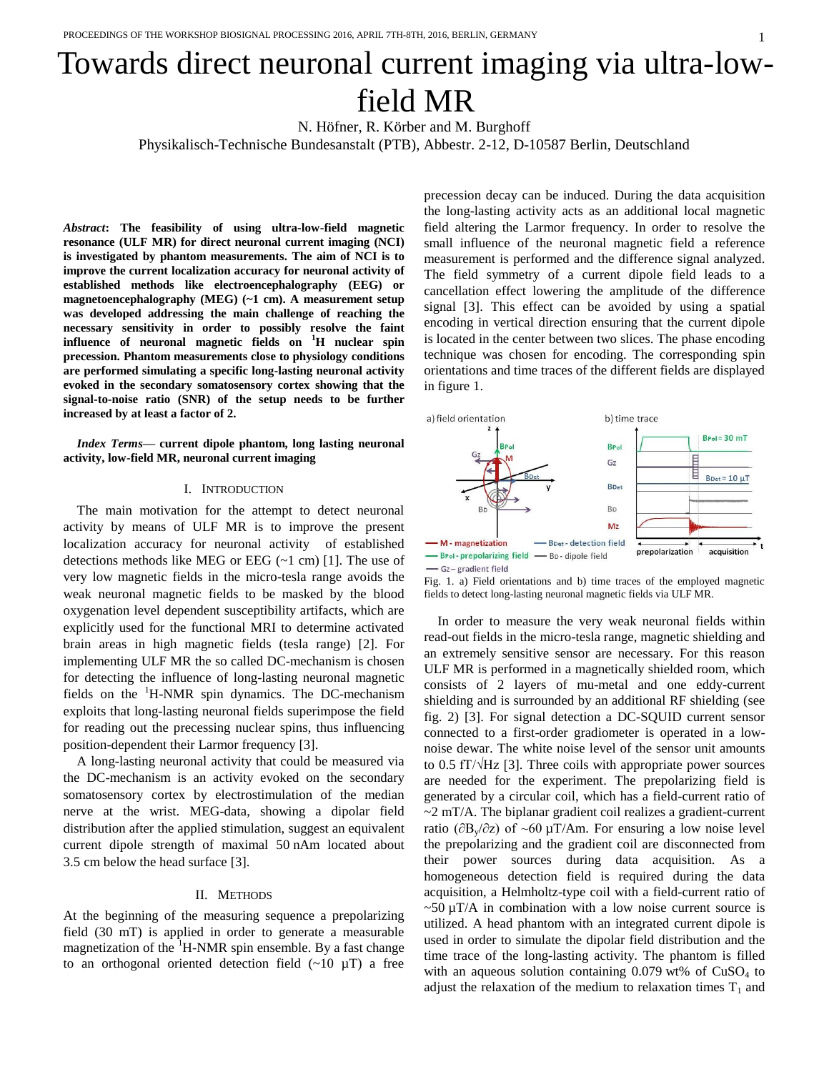# Towards direct neuronal current imaging via ultra-lowfield MR

N. Höfner, R. Körber and M. Burghoff Physikalisch-Technische Bundesanstalt (PTB), Abbestr. 2-12, D-10587 Berlin, Deutschland

*Abstract***: The feasibility of using ultra-low-field magnetic resonance (ULF MR) for direct neuronal current imaging (NCI) is investigated by phantom measurements. The aim of NCI is to improve the current localization accuracy for neuronal activity of established methods like electroencephalography (EEG) or magnetoencephalography (MEG) (~1 cm). A measurement setup was developed addressing the main challenge of reaching the necessary sensitivity in order to possibly resolve the faint influence of neuronal magnetic fields on <sup>1</sup>H nuclear spin precession. Phantom measurements close to physiology conditions are performed simulating a specific long-lasting neuronal activity evoked in the secondary somatosensory cortex showing that the signal-to-noise ratio (SNR) of the setup needs to be further increased by at least a factor of 2.**

*Index Terms***— current dipole phantom, long lasting neuronal activity, low-field MR, neuronal current imaging**

# I. INTRODUCTION

The main motivation for the attempt to detect neuronal activity by means of ULF MR is to improve the present localization accuracy for neuronal activity of established detections methods like MEG or EEG  $(-1 \text{ cm})$  [1]. The use of very low magnetic fields in the micro-tesla range avoids the weak neuronal magnetic fields to be masked by the blood oxygenation level dependent susceptibility artifacts, which are explicitly used for the functional MRI to determine activated brain areas in high magnetic fields (tesla range) [2]. For implementing ULF MR the so called DC-mechanism is chosen for detecting the influence of long-lasting neuronal magnetic fields on the  ${}^{1}$ H-NMR spin dynamics. The DC-mechanism exploits that long-lasting neuronal fields superimpose the field for reading out the precessing nuclear spins, thus influencing position-dependent their Larmor frequency [3].

A long-lasting neuronal activity that could be measured via the DC-mechanism is an activity evoked on the secondary somatosensory cortex by electrostimulation of the median nerve at the wrist. MEG-data, showing a dipolar field distribution after the applied stimulation, suggest an equivalent current dipole strength of maximal 50 nAm located about 3.5 cm below the head surface [3].

# II. METHODS

At the beginning of the measuring sequence a prepolarizing field (30 mT) is applied in order to generate a measurable magnetization of the  $H-MMR$  spin ensemble. By a fast change to an orthogonal oriented detection field  $(\sim 10 \mu T)$  a free

precession decay can be induced. During the data acquisition the long-lasting activity acts as an additional local magnetic field altering the Larmor frequency. In order to resolve the small influence of the neuronal magnetic field a reference measurement is performed and the difference signal analyzed. The field symmetry of a current dipole field leads to a cancellation effect lowering the amplitude of the difference signal [3]. This effect can be avoided by using a spatial encoding in vertical direction ensuring that the current dipole is located in the center between two slices. The phase encoding technique was chosen for encoding. The corresponding spin orientations and time traces of the different fields are displayed in figure 1.







In order to measure the very weak neuronal fields within read-out fields in the micro-tesla range, magnetic shielding and an extremely sensitive sensor are necessary. For this reason ULF MR is performed in a magnetically shielded room, which consists of 2 layers of mu-metal and one eddy-current shielding and is surrounded by an additional RF shielding (see fig. 2) [3]. For signal detection a DC-SQUID current sensor connected to a first-order gradiometer is operated in a lownoise dewar. The white noise level of the sensor unit amounts to 0.5 fT/√Hz [3]. Three coils with appropriate power sources are needed for the experiment. The prepolarizing field is generated by a circular coil, which has a field-current ratio of  $\sim$ 2 mT/A. The biplanar gradient coil realizes a gradient-current ratio (∂By/∂z) of ~60 µT/Am. For ensuring a low noise level the prepolarizing and the gradient coil are disconnected from their power sources during data acquisition. As a homogeneous detection field is required during the data acquisition, a Helmholtz-type coil with a field-current ratio of  $\sim$  50  $\mu$ T/A in combination with a low noise current source is utilized. A head phantom with an integrated current dipole is used in order to simulate the dipolar field distribution and the time trace of the long-lasting activity. The phantom is filled with an aqueous solution containing  $0.079$  wt% of CuSO<sub>4</sub> to adjust the relaxation of the medium to relaxation times  $T_1$  and